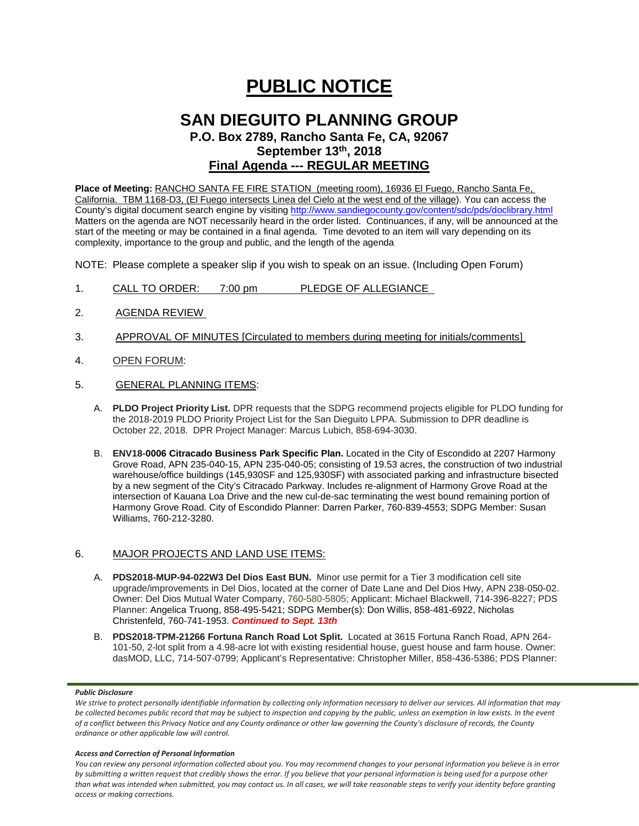# **PUBLIC NOTICE**

# **SAN DIEGUITO PLANNING GROUP**

**P.O. Box 2789, Rancho Santa Fe, CA, 92067 September 13th, 2018**

## **Final Agenda --- REGULAR MEETING**

**Place of Meeting:** RANCHO SANTA FE FIRE STATION (meeting room), 16936 El Fuego, Rancho Santa Fe, California. TBM 1168-D3, (El Fuego intersects Linea del Cielo at the west end of the village). You can access the County's digital document search engine by visitin[g http://www.sandiegocounty.gov/content/sdc/pds/doclibrary.html](http://www.sandiegocounty.gov/content/sdc/pds/doclibrary.html) Matters on the agenda are NOT necessarily heard in the order listed. Continuances, if any, will be announced at the start of the meeting or may be contained in a final agenda. Time devoted to an item will vary depending on its complexity, importance to the group and public, and the length of the agenda

NOTE: Please complete a speaker slip if you wish to speak on an issue. (Including Open Forum)

- 1. CALL TO ORDER: 7:00 pm PLEDGE OF ALLEGIANCE
- 2. AGENDA REVIEW
- 3. APPROVAL OF MINUTES [Circulated to members during meeting for initials/comments]
- 4. OPEN FORUM:
- 5. GENERAL PLANNING ITEMS:
	- A. **PLDO Project Priority List.** DPR requests that the SDPG recommend projects eligible for PLDO funding for the 2018-2019 PLDO Priority Project List for the San Dieguito LPPA. Submission to DPR deadline is October 22, 2018. DPR Project Manager: Marcus Lubich, 858-694-3030.
	- B. **ENV18-0006 Citracado Business Park Specific Plan.** Located in the City of Escondido at 2207 Harmony Grove Road, APN 235-040-15, APN 235-040-05; consisting of 19.53 acres, the construction of two industrial warehouse/office buildings (145,930SF and 125,930SF) with associated parking and infrastructure bisected by a new segment of the City's Citracado Parkway. Includes re-alignment of Harmony Grove Road at the intersection of Kauana Loa Drive and the new cul-de-sac terminating the west bound remaining portion of Harmony Grove Road. City of Escondido Planner: Darren Parker, 760-839-4553; SDPG Member: Susan Williams, 760-212-3280.

### 6. MAJOR PROJECTS AND LAND USE ITEMS:

- A. **PDS2018-MUP-94-022W3 Del Dios East BUN.** Minor use permit for a Tier 3 modification cell site upgrade/improvements in Del Dios, located at the corner of Date Lane and Del Dios Hwy, APN 238-050-02. Owner: Del Dios Mutual Water Company, 760-580-5805; Applicant: Michael Blackwell, 714-396-8227; PDS Planner: Angelica Truong, 858-495-5421; SDPG Member(s): Don Willis, 858-481-6922, Nicholas Christenfeld, 760-741-1953. *Continued to Sept. 13th*
- B. **PDS2018-TPM-21266 Fortuna Ranch Road Lot Split.** Located at 3615 Fortuna Ranch Road, APN 264- 101-50, 2-lot split from a 4.98-acre lot with existing residential house, guest house and farm house. Owner: dasMOD, LLC, 714-507-0799; Applicant's Representative: Christopher Miller, 858-436-5386; PDS Planner:

#### *Public Disclosure*

#### *Access and Correction of Personal Information*

*You can review any personal information collected about you. You may recommend changes to your personal information you believe is in error by submitting a written request that credibly shows the error. If you believe that your personal information is being used for a purpose other than what was intended when submitted, you may contact us. In all cases, we will take reasonable steps to verify your identity before granting access or making corrections.*

*We strive to protect personally identifiable information by collecting only information necessary to deliver our services. All information that may be collected becomes public record that may be subject to inspection and copying by the public, unless an exemption in law exists. In the event of a conflict between this Privacy Notice and any County ordinance or other law governing the County's disclosure of records, the County ordinance or other applicable law will control.*